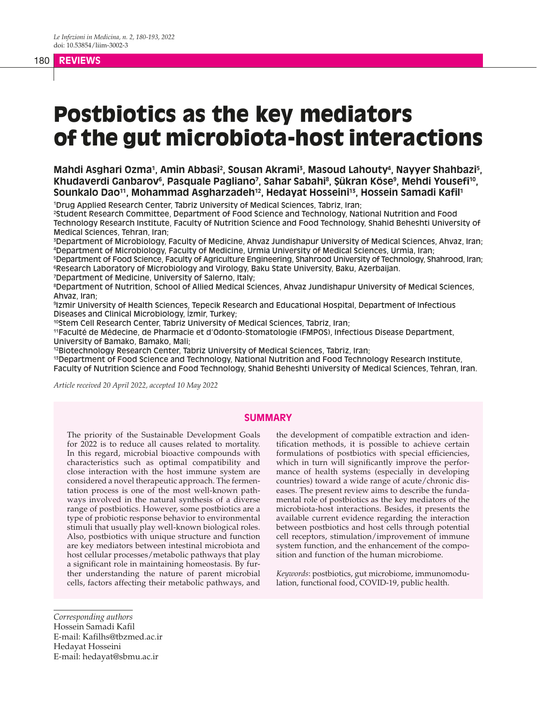# 180 **REVIEWS**

# Postbiotics as the key mediators of the gut microbiota-host interactions

Mahdi Asghari Ozma1, Amin Abbasi<sup>2</sup>, Sousan Akrami<sup>3</sup>, Masoud Lahouty<sup>4</sup>, Nayyer Shahbazi<sup>5</sup>, Khudaverdi Ganbarov<sup>6</sup>, Pasquale Pagliano<sup>7</sup>, Sahar Sabahi<sup>8</sup>, Şükran Köse<sup>9</sup>, Mehdi Yousefi<sup>10</sup>, **Sounkalo Dao11, Mohammad Asgharzadeh12, Hedayat Hosseini13, Hossein Samadi Kafil1**

1 Drug Applied Research Center, Tabriz University of Medical Sciences, Tabriz, Iran;

2 Student Research Committee, Department of Food Science and Technology, National Nutrition and Food Technology Research Institute, Faculty of Nutrition Science and Food Technology, Shahid Beheshti University of Medical Sciences, Tehran, Iran;

3 Department of Microbiology, Faculty of Medicine, Ahvaz Jundishapur University of Medical Sciences, Ahvaz, Iran; 4 Department of Microbiology, Faculty of Medicine, Urmia University of Medical Sciences, Urmia, Iran;

5 Department of Food Science, Faculty of Agriculture Engineering, Shahrood University of Technology, Shahrood, Iran; 6 Research Laboratory of Microbiology and Virology, Baku State University, Baku, Azerbaijan.

7 Department of Medicine, University of Salerno, Italy;

8 Department of Nutrition, School of Allied Medical Sciences, Ahvaz Jundishapur University of Medical Sciences, Ahvaz, Iran;

9 Izmir University of Health Sciences, Tepecik Research and Educational Hospital, Department of Infectious Diseases and Clinical Microbiology, İzmir, Turkey;

10Stem Cell Research Center, Tabriz University of Medical Sciences, Tabriz, Iran;

11Faculté de Médecine, de Pharmacie et d'Odonto-Stomatologie (FMPOS), Infectious Disease Department, University of Bamako, Bamako, Mali;

12Biotechnology Research Center, Tabriz University of Medical Sciences, Tabriz, Iran;

<sup>13</sup>Department of Food Science and Technology, National Nutrition and Food Technology Research Institute,

Faculty of Nutrition Science and Food Technology, Shahid Beheshti University of Medical Sciences, Tehran, Iran.

*Article received 20 April 2022, accepted 10 May 2022*

#### **SUMMARY**

The priority of the Sustainable Development Goals for 2022 is to reduce all causes related to mortality. In this regard, microbial bioactive compounds with characteristics such as optimal compatibility and close interaction with the host immune system are considered a novel therapeutic approach. The fermentation process is one of the most well-known pathways involved in the natural synthesis of a diverse range of postbiotics. However, some postbiotics are a type of probiotic response behavior to environmental stimuli that usually play well-known biological roles. Also, postbiotics with unique structure and function are key mediators between intestinal microbiota and host cellular processes/metabolic pathways that play a significant role in maintaining homeostasis. By further understanding the nature of parent microbial cells, factors affecting their metabolic pathways, and

the development of compatible extraction and identification methods, it is possible to achieve certain formulations of postbiotics with special efficiencies, which in turn will significantly improve the performance of health systems (especially in developing countries) toward a wide range of acute/chronic diseases. The present review aims to describe the fundamental role of postbiotics as the key mediators of the microbiota-host interactions. Besides, it presents the available current evidence regarding the interaction between postbiotics and host cells through potential cell receptors, stimulation/improvement of immune system function, and the enhancement of the composition and function of the human microbiome.

*Keywords*: postbiotics, gut microbiome, immunomodulation, functional food, COVID-19, public health.

*Corresponding authors* Hossein Samadi Kafil E-mail: Kafilhs@tbzmed.ac.ir Hedayat Hosseini E-mail: hedayat@sbmu.ac.ir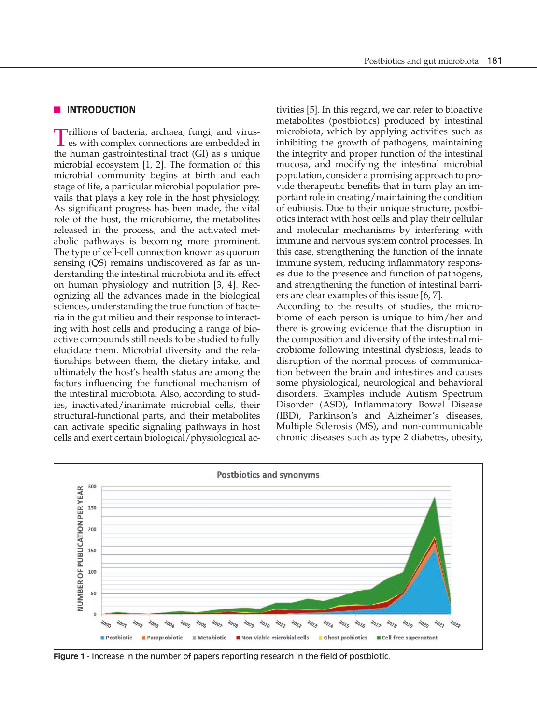#### n **INTRODUCTION**

Trillions of bacteria, archaea, fungi, and virus-es with complex connections are embedded in the human gastrointestinal tract (GI) as s unique microbial ecosystem [1, 2]. The formation of this microbial community begins at birth and each stage of life, a particular microbial population prevails that plays a key role in the host physiology. As significant progress has been made, the vital role of the host, the microbiome, the metabolites released in the process, and the activated metabolic pathways is becoming more prominent. The type of cell-cell connection known as quorum sensing (QS) remains undiscovered as far as understanding the intestinal microbiota and its effect on human physiology and nutrition [3, 4]. Recognizing all the advances made in the biological sciences, understanding the true function of bacteria in the gut milieu and their response to interacting with host cells and producing a range of bioactive compounds still needs to be studied to fully elucidate them. Microbial diversity and the relationships between them, the dietary intake, and ultimately the host's health status are among the factors influencing the functional mechanism of the intestinal microbiota. Also, according to studies, inactivated/inanimate microbial cells, their structural-functional parts, and their metabolites can activate specific signaling pathways in host cells and exert certain biological/physiological activities [5]. In this regard, we can refer to bioactive metabolites (postbiotics) produced by intestinal microbiota, which by applying activities such as inhibiting the growth of pathogens, maintaining the integrity and proper function of the intestinal mucosa, and modifying the intestinal microbial population, consider a promising approach to provide therapeutic benefits that in turn play an important role in creating/maintaining the condition of eubiosis. Due to their unique structure, postbiotics interact with host cells and play their cellular and molecular mechanisms by interfering with immune and nervous system control processes. In this case, strengthening the function of the innate immune system, reducing inflammatory responses due to the presence and function of pathogens, and strengthening the function of intestinal barriers are clear examples of this issue [6, 7].

According to the results of studies, the microbiome of each person is unique to him/her and there is growing evidence that the disruption in the composition and diversity of the intestinal microbiome following intestinal dysbiosis, leads to disruption of the normal process of communication between the brain and intestines and causes some physiological, neurological and behavioral disorders. Examples include Autism Spectrum Disorder (ASD), Inflammatory Bowel Disease (IBD), Parkinson's and Alzheimer's diseases, Multiple Sclerosis (MS), and non-communicable chronic diseases such as type 2 diabetes, obesity,



**Figure 1** - Increase in the number of papers reporting research in the field of postbiotic.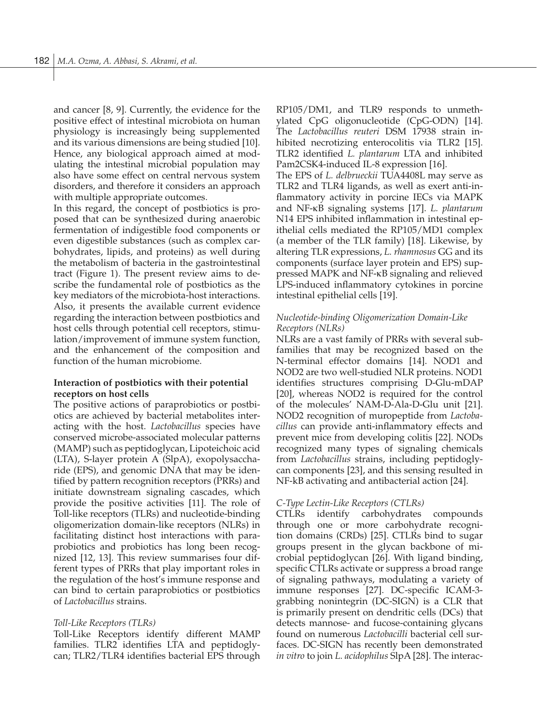and cancer [8, 9]. Currently, the evidence for the positive effect of intestinal microbiota on human physiology is increasingly being supplemented and its various dimensions are being studied [10]. Hence, any biological approach aimed at modulating the intestinal microbial population may also have some effect on central nervous system disorders, and therefore it considers an approach with multiple appropriate outcomes.

In this regard, the concept of postbiotics is proposed that can be synthesized during anaerobic fermentation of indigestible food components or even digestible substances (such as complex carbohydrates, lipids, and proteins) as well during the metabolism of bacteria in the gastrointestinal tract (Figure 1). The present review aims to describe the fundamental role of postbiotics as the key mediators of the microbiota-host interactions. Also, it presents the available current evidence regarding the interaction between postbiotics and host cells through potential cell receptors, stimulation/improvement of immune system function, and the enhancement of the composition and function of the human microbiome.

#### **Interaction of postbiotics with their potential receptors on host cells**

The positive actions of paraprobiotics or postbiotics are achieved by bacterial metabolites interacting with the host. *Lactobacillus* species have conserved microbe-associated molecular patterns (MAMP) such as peptidoglycan, Lipoteichoic acid (LTA), S-layer protein A (SlpA), exopolysaccharide (EPS), and genomic DNA that may be identified by pattern recognition receptors (PRRs) and initiate downstream signaling cascades, which provide the positive activities [11]. The role of Toll-like receptors (TLRs) and nucleotide-binding oligomerization domain-like receptors (NLRs) in facilitating distinct host interactions with paraprobiotics and probiotics has long been recognized [12, 13]. This review summarises four different types of PRRs that play important roles in the regulation of the host's immune response and can bind to certain paraprobiotics or postbiotics of *Lactobacillus* strains.

#### *Toll-Like Receptors (TLRs)*

Toll-Like Receptors identify different MAMP families. TLR2 identifies LTA and peptidoglycan; TLR2/TLR4 identifies bacterial EPS through RP105/DM1, and TLR9 responds to unmethylated CpG oligonucleotide (CpG-ODN) [14]. The *Lactobacillus reuteri* DSM 17938 strain inhibited necrotizing enterocolitis via TLR2 [15]. TLR2 identified *L. plantarum* LTA and inhibited Pam2CSK4-induced IL-8 expression [16].

The EPS of *L. delbrueckii* TUA4408L may serve as TLR2 and TLR4 ligands, as well as exert anti-inflammatory activity in porcine IECs via MAPK and NF-κB signaling systems [17]. *L. plantarum* N14 EPS inhibited inflammation in intestinal epithelial cells mediated the RP105/MD1 complex (a member of the TLR family) [18]. Likewise, by altering TLR expressions, *L. rhamnosus* GG and its components (surface layer protein and EPS) suppressed MAPK and NF-κB signaling and relieved LPS-induced inflammatory cytokines in porcine intestinal epithelial cells [19].

### *Nucleotide-binding Oligomerization Domain-Like Receptors (NLRs)*

NLRs are a vast family of PRRs with several subfamilies that may be recognized based on the N-terminal effector domains [14]. NOD1 and NOD2 are two well-studied NLR proteins. NOD1 identifies structures comprising D-Glu-mDAP [20], whereas NOD2 is required for the control of the molecules' NAM-D-Ala-D-Glu unit [21]. NOD2 recognition of muropeptide from *Lactobacillus* can provide anti-inflammatory effects and prevent mice from developing colitis [22]. NODs recognized many types of signaling chemicals from *Lactobacillus* strains, including peptidoglycan components [23], and this sensing resulted in NF-kB activating and antibacterial action [24].

#### *C-Type Lectin-Like Receptors (CTLRs)*

CTLRs identify carbohydrates compounds through one or more carbohydrate recognition domains (CRDs) [25]. CTLRs bind to sugar groups present in the glycan backbone of microbial peptidoglycan [26]. With ligand binding, specific CTLRs activate or suppress a broad range of signaling pathways, modulating a variety of immune responses [27]. DC-specific ICAM-3 grabbing nonintegrin (DC-SIGN) is a CLR that is primarily present on dendritic cells (DCs) that detects mannose- and fucose-containing glycans found on numerous *Lactobacilli* bacterial cell surfaces. DC-SIGN has recently been demonstrated *in vitro* to join *L. acidophilus* SlpA [28]. The interac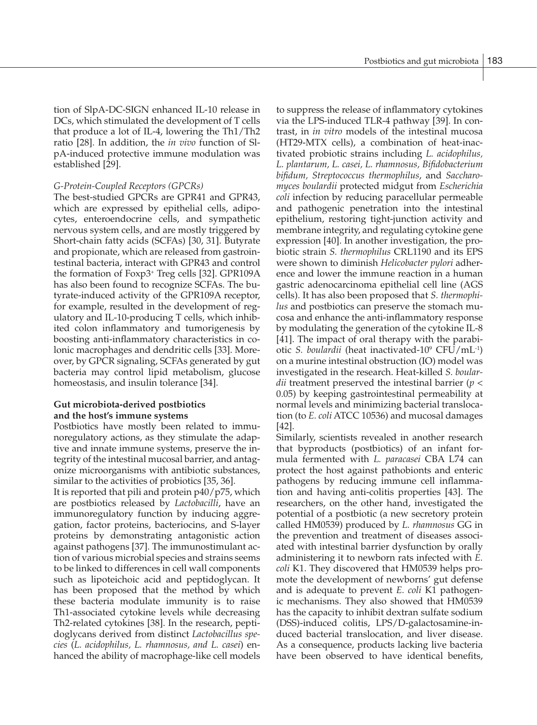tion of SlpA-DC-SIGN enhanced IL-10 release in DCs, which stimulated the development of T cells that produce a lot of IL-4, lowering the Th1/Th2 ratio [28]. In addition, the *in vivo* function of SlpA-induced protective immune modulation was established [29].

### *G-Protein-Coupled Receptors (GPCRs)*

The best-studied GPCRs are GPR41 and GPR43, which are expressed by epithelial cells, adipocytes, enteroendocrine cells, and sympathetic nervous system cells, and are mostly triggered by Short-chain fatty acids (SCFAs) [30, 31]. Butyrate and propionate, which are released from gastrointestinal bacteria, interact with GPR43 and control the formation of Foxp3+ Treg cells [32]. GPR109A has also been found to recognize SCFAs. The butyrate-induced activity of the GPR109A receptor, for example, resulted in the development of regulatory and IL-10-producing T cells, which inhibited colon inflammatory and tumorigenesis by boosting anti-inflammatory characteristics in colonic macrophages and dendritic cells [33]. Moreover, by GPCR signaling, SCFAs generated by gut bacteria may control lipid metabolism, glucose homeostasis, and insulin tolerance [34].

# **Gut microbiota-derived postbiotics and the host's immune systems**

Postbiotics have mostly been related to immunoregulatory actions, as they stimulate the adaptive and innate immune systems, preserve the integrity of the intestinal mucosal barrier, and antagonize microorganisms with antibiotic substances, similar to the activities of probiotics [35, 36].

It is reported that pili and protein p40/p75, which are postbiotics released by *Lactobacilli*, have an immunoregulatory function by inducing aggregation, factor proteins, bacteriocins, and S-layer proteins by demonstrating antagonistic action against pathogens [37]. The immunostimulant action of various microbial species and strains seems to be linked to differences in cell wall components such as lipoteichoic acid and peptidoglycan. It has been proposed that the method by which these bacteria modulate immunity is to raise Th1-associated cytokine levels while decreasing Th2-related cytokines [38]. In the research, peptidoglycans derived from distinct *Lactobacillus species* (*L. acidophilus, L. rhamnosus, and L. casei*) enhanced the ability of macrophage-like cell models

to suppress the release of inflammatory cytokines via the LPS-induced TLR-4 pathway [39]. In contrast, in *in vitro* models of the intestinal mucosa (HT29-MTX cells), a combination of heat-inactivated probiotic strains including *L. acidophilus, L. plantarum, L. casei, L. rhamnosus, Bifidobacterium bifidum, Streptococcus thermophilus*, and *Saccharomyces boulardii* protected midgut from *Escherichia coli* infection by reducing paracellular permeable and pathogenic penetration into the intestinal epithelium, restoring tight-junction activity and membrane integrity, and regulating cytokine gene expression [40]. In another investigation, the probiotic strain *S. thermophilus* CRL1190 and its EPS were shown to diminish *Helicobacter pylori* adherence and lower the immune reaction in a human gastric adenocarcinoma epithelial cell line (AGS cells). It has also been proposed that *S. thermophilus* and postbiotics can preserve the stomach mucosa and enhance the anti-inflammatory response by modulating the generation of the cytokine IL-8 [41]. The impact of oral therapy with the parabiotic *S. boulardii* (heat inactivated-109 CFU/mL-1) on a murine intestinal obstruction (IO) model was investigated in the research. Heat-killed *S. boulardii* treatment preserved the intestinal barrier (*p* < 0.05) by keeping gastrointestinal permeability at normal levels and minimizing bacterial translocation (to *E. coli* ATCC 10536) and mucosal damages [42].

Similarly, scientists revealed in another research that byproducts (postbiotics) of an infant formula fermented with *L. paracasei* CBA L74 can protect the host against pathobionts and enteric pathogens by reducing immune cell inflammation and having anti-colitis properties [43]. The researchers, on the other hand, investigated the potential of a postbiotic (a new secretory protein called HM0539) produced by *L. rhamnosus* GG in the prevention and treatment of diseases associated with intestinal barrier dysfunction by orally administering it to newborn rats infected with *E. coli* K1. They discovered that HM0539 helps promote the development of newborns' gut defense and is adequate to prevent *E. coli* K1 pathogenic mechanisms. They also showed that HM0539 has the capacity to inhibit dextran sulfate sodium (DSS)-induced colitis, LPS/D-galactosamine-induced bacterial translocation, and liver disease. As a consequence, products lacking live bacteria have been observed to have identical benefits,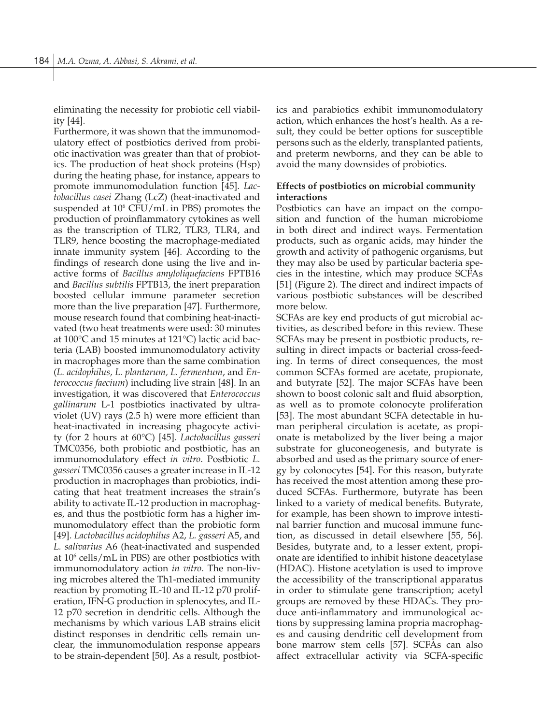eliminating the necessity for probiotic cell viability [44].

Furthermore, it was shown that the immunomodulatory effect of postbiotics derived from probiotic inactivation was greater than that of probiotics. The production of heat shock proteins (Hsp) during the heating phase, for instance, appears to promote immunomodulation function [45]. *Lactobacillus casei* Zhang (LcZ) (heat-inactivated and suspended at 10<sup>6</sup> CFU/mL in PBS) promotes the production of proinflammatory cytokines as well as the transcription of TLR2, TLR3, TLR4, and TLR9, hence boosting the macrophage-mediated innate immunity system [46]. According to the findings of research done using the live and inactive forms of *Bacillus amyloliquefaciens* FPTB16 and *Bacillus subtilis* FPTB13, the inert preparation boosted cellular immune parameter secretion more than the live preparation [47]. Furthermore, mouse research found that combining heat-inactivated (two heat treatments were used: 30 minutes at 100°C and 15 minutes at 121°C) lactic acid bacteria (LAB) boosted immunomodulatory activity in macrophages more than the same combination (*L. acidophilus, L. plantarum, L. fermentum*, and *Enterococcus faecium*) including live strain [48]. In an investigation, it was discovered that *Enterococcus gallinarum* L-1 postbiotics inactivated by ultraviolet (UV) rays (2.5 h) were more efficient than heat-inactivated in increasing phagocyte activity (for 2 hours at 60°C) [45]. *Lactobacillus gasseri* TMC0356, both probiotic and postbiotic, has an immunomodulatory effect *in vitro*. Postbiotic *L. gasseri* TMC0356 causes a greater increase in IL-12 production in macrophages than probiotics, indicating that heat treatment increases the strain's ability to activate IL-12 production in macrophages, and thus the postbiotic form has a higher immunomodulatory effect than the probiotic form [49]. *Lactobacillus acidophilus* A2, *L. gasseri* A5, and *L. salivarius* A6 (heat-inactivated and suspended at 10<sup>6</sup> cells/mL in PBS) are other postbiotics with immunomodulatory action *in vitro*. The non-living microbes altered the Th1-mediated immunity reaction by promoting IL-10 and IL-12 p70 proliferation, IFN-G production in splenocytes, and IL-12 p70 secretion in dendritic cells. Although the mechanisms by which various LAB strains elicit distinct responses in dendritic cells remain unclear, the immunomodulation response appears to be strain-dependent [50]. As a result, postbiotics and parabiotics exhibit immunomodulatory action, which enhances the host's health. As a result, they could be better options for susceptible persons such as the elderly, transplanted patients, and preterm newborns, and they can be able to avoid the many downsides of probiotics.

# **Effects of postbiotics on microbial community interactions**

Postbiotics can have an impact on the composition and function of the human microbiome in both direct and indirect ways. Fermentation products, such as organic acids, may hinder the growth and activity of pathogenic organisms, but they may also be used by particular bacteria species in the intestine, which may produce SCFAs [51] (Figure 2). The direct and indirect impacts of various postbiotic substances will be described more below.

SCFAs are key end products of gut microbial activities, as described before in this review. These SCFAs may be present in postbiotic products, resulting in direct impacts or bacterial cross-feeding. In terms of direct consequences, the most common SCFAs formed are acetate, propionate, and butyrate [52]. The major SCFAs have been shown to boost colonic salt and fluid absorption, as well as to promote colonocyte proliferation [53]. The most abundant SCFA detectable in human peripheral circulation is acetate, as propionate is metabolized by the liver being a major substrate for gluconeogenesis, and butyrate is absorbed and used as the primary source of energy by colonocytes [54]. For this reason, butyrate has received the most attention among these produced SCFAs. Furthermore, butyrate has been linked to a variety of medical benefits. Butyrate, for example, has been shown to improve intestinal barrier function and mucosal immune function, as discussed in detail elsewhere [55, 56]. Besides, butyrate and, to a lesser extent, propionate are identified to inhibit histone deacetylase (HDAC). Histone acetylation is used to improve the accessibility of the transcriptional apparatus in order to stimulate gene transcription; acetyl groups are removed by these HDACs. They produce anti-inflammatory and immunological actions by suppressing lamina propria macrophages and causing dendritic cell development from bone marrow stem cells [57]. SCFAs can also affect extracellular activity via SCFA-specific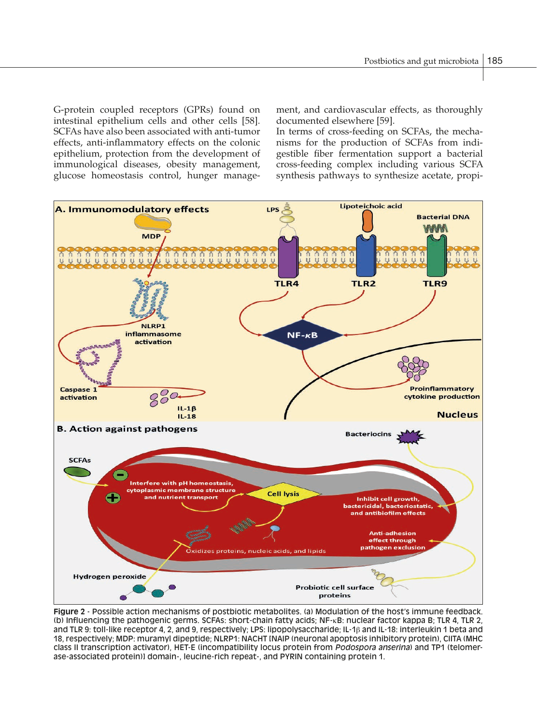G-protein coupled receptors (GPRs) found on intestinal epithelium cells and other cells [58]. SCFAs have also been associated with anti-tumor effects, anti-inflammatory effects on the colonic epithelium, protection from the development of immunological diseases, obesity management, glucose homeostasis control, hunger management, and cardiovascular effects, as thoroughly documented elsewhere [59].

In terms of cross-feeding on SCFAs, the mechanisms for the production of SCFAs from indigestible fiber fermentation support a bacterial cross-feeding complex including various SCFA synthesis pathways to synthesize acetate, propi-



**Figure 2** - Possible action mechanisms of postbiotic metabolites. (a) Modulation of the host's immune feedback. (b) Influencing the pathogenic germs. SCFAs: short-chain fatty acids; NF-κB: nuclear factor kappa B; TLR 4, TLR 2, and TLR 9: toll-like receptor 4, 2, and 9, respectively; LPS: lipopolysaccharide; IL-1β and IL-18: interleukin 1 beta and 18, respectively; MDP: muramyl dipeptide; NLRP1: NACHT [NAIP (neuronal apoptosis inhibitory protein), CIITA (MHC class II transcription activator), HET-E (incompatibility locus protein from *Podospora anserina*) and TP1 (telomerase-associated protein)] domain-, leucine-rich repeat-, and PYRIN containing protein 1.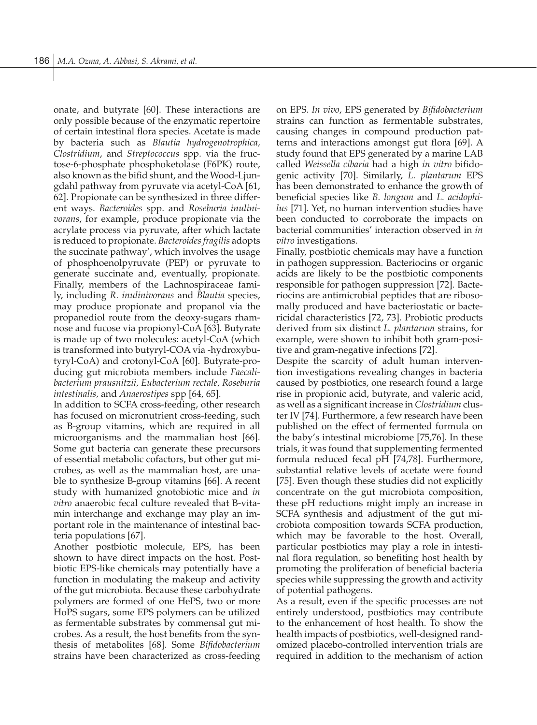onate, and butyrate [60]. These interactions are only possible because of the enzymatic repertoire of certain intestinal flora species. Acetate is made by bacteria such as *Blautia hydrogenotrophica, Clostridium*, and *Streptococcus* spp. via the fructose-6-phosphate phosphoketolase (F6PK) route, also known as the bifid shunt, and the Wood-Ljungdahl pathway from pyruvate via acetyl-CoA [61, 62]. Propionate can be synthesized in three different ways. *Bacteroides* spp. and *Roseburia inulinivorans*, for example, produce propionate via the acrylate process via pyruvate, after which lactate is reduced to propionate. *Bacteroides fragilis* adopts the succinate pathway', which involves the usage of phosphoenolpyruvate (PEP) or pyruvate to generate succinate and, eventually, propionate. Finally, members of the Lachnospiraceae family, including *R. inulinivorans* and *Blautia* species, may produce propionate and propanol via the propanediol route from the deoxy-sugars rhamnose and fucose via propionyl-CoA [63]. Butyrate is made up of two molecules: acetyl-CoA (which is transformed into butyryl-COA via -hydroxybutyryl-CoA) and crotonyl-CoA [60]. Butyrate-producing gut microbiota members include *Faecalibacterium prausnitzii, Eubacterium rectale, Roseburia intestinalis,* and *Anaerostipes* spp [64, 65].

In addition to SCFA cross-feeding, other research has focused on micronutrient cross-feeding, such as B-group vitamins, which are required in all microorganisms and the mammalian host [66]. Some gut bacteria can generate these precursors of essential metabolic cofactors, but other gut microbes, as well as the mammalian host, are unable to synthesize B-group vitamins [66]. A recent study with humanized gnotobiotic mice and *in vitro* anaerobic fecal culture revealed that B-vitamin interchange and exchange may play an important role in the maintenance of intestinal bacteria populations [67].

Another postbiotic molecule, EPS, has been shown to have direct impacts on the host. Postbiotic EPS-like chemicals may potentially have a function in modulating the makeup and activity of the gut microbiota. Because these carbohydrate polymers are formed of one HePS, two or more HoPS sugars, some EPS polymers can be utilized as fermentable substrates by commensal gut microbes. As a result, the host benefits from the synthesis of metabolites [68]. Some *Bifidobacterium* strains have been characterized as cross-feeding on EPS. *In vivo*, EPS generated by *Bifidobacterium* strains can function as fermentable substrates, causing changes in compound production patterns and interactions amongst gut flora [69]. A study found that EPS generated by a marine LAB called *Weissella cibaria* had a high *in vitro* bifidogenic activity [70]. Similarly, *L. plantarum* EPS has been demonstrated to enhance the growth of beneficial species like *B. longum* and *L. acidophilus* [71]. Yet, no human intervention studies have been conducted to corroborate the impacts on bacterial communities' interaction observed in *in vitro* investigations.

Finally, postbiotic chemicals may have a function in pathogen suppression. Bacteriocins or organic acids are likely to be the postbiotic components responsible for pathogen suppression [72]. Bacteriocins are antimicrobial peptides that are ribosomally produced and have bacteriostatic or bactericidal characteristics [72, 73]. Probiotic products derived from six distinct *L. plantarum* strains, for example, were shown to inhibit both gram-positive and gram-negative infections [72].

Despite the scarcity of adult human intervention investigations revealing changes in bacteria caused by postbiotics, one research found a large rise in propionic acid, butyrate, and valeric acid, as well as a significant increase in *Clostridium* cluster IV [74]. Furthermore, a few research have been published on the effect of fermented formula on the baby's intestinal microbiome [75,76]. In these trials, it was found that supplementing fermented formula reduced fecal pH [74,78]. Furthermore, substantial relative levels of acetate were found [75]. Even though these studies did not explicitly concentrate on the gut microbiota composition, these pH reductions might imply an increase in SCFA synthesis and adjustment of the gut microbiota composition towards SCFA production, which may be favorable to the host. Overall, particular postbiotics may play a role in intestinal flora regulation, so benefiting host health by promoting the proliferation of beneficial bacteria species while suppressing the growth and activity of potential pathogens.

As a result, even if the specific processes are not entirely understood, postbiotics may contribute to the enhancement of host health. To show the health impacts of postbiotics, well-designed randomized placebo-controlled intervention trials are required in addition to the mechanism of action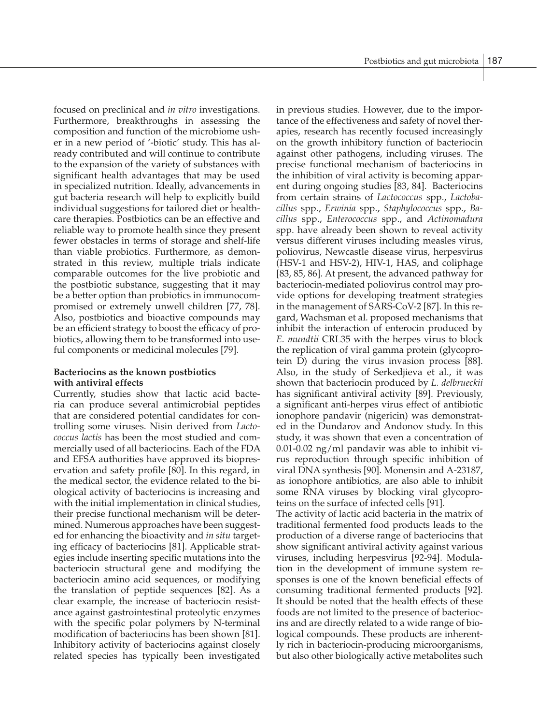focused on preclinical and *in vitro* investigations. Furthermore, breakthroughs in assessing the composition and function of the microbiome usher in a new period of '-biotic' study. This has already contributed and will continue to contribute to the expansion of the variety of substances with significant health advantages that may be used in specialized nutrition. Ideally, advancements in gut bacteria research will help to explicitly build individual suggestions for tailored diet or healthcare therapies. Postbiotics can be an effective and reliable way to promote health since they present fewer obstacles in terms of storage and shelf-life than viable probiotics. Furthermore, as demonstrated in this review, multiple trials indicate comparable outcomes for the live probiotic and the postbiotic substance, suggesting that it may be a better option than probiotics in immunocompromised or extremely unwell children [77, 78]. Also, postbiotics and bioactive compounds may be an efficient strategy to boost the efficacy of probiotics, allowing them to be transformed into useful components or medicinal molecules [79].

# **Bacteriocins as the known postbiotics with antiviral effects**

Currently, studies show that lactic acid bacteria can produce several antimicrobial peptides that are considered potential candidates for controlling some viruses. Nisin derived from *Lactococcus lactis* has been the most studied and commercially used of all bacteriocins. Each of the FDA and EFSA authorities have approved its biopreservation and safety profile [80]. In this regard, in the medical sector, the evidence related to the biological activity of bacteriocins is increasing and with the initial implementation in clinical studies, their precise functional mechanism will be determined. Numerous approaches have been suggested for enhancing the bioactivity and *in situ* targeting efficacy of bacteriocins [81]. Applicable strategies include inserting specific mutations into the bacteriocin structural gene and modifying the bacteriocin amino acid sequences, or modifying the translation of peptide sequences [82]. As a clear example, the increase of bacteriocin resistance against gastrointestinal proteolytic enzymes with the specific polar polymers by N-terminal modification of bacteriocins has been shown [81]. Inhibitory activity of bacteriocins against closely related species has typically been investigated

in previous studies. However, due to the importance of the effectiveness and safety of novel therapies, research has recently focused increasingly on the growth inhibitory function of bacteriocin against other pathogens, including viruses. The precise functional mechanism of bacteriocins in the inhibition of viral activity is becoming apparent during ongoing studies [83, 84]. Bacteriocins from certain strains of *Lactococcus* spp., *Lactobacillus* spp., *Erwinia* spp., *Staphylococcus* spp., *Bacillus* spp., *Enterococcus* spp., and *Actinomadura* spp. have already been shown to reveal activity versus different viruses including measles virus, poliovirus, Newcastle disease virus, herpesvirus (HSV-1 and HSV-2), HIV-1, HAS, and coliphage [83, 85, 86]. At present, the advanced pathway for bacteriocin-mediated poliovirus control may provide options for developing treatment strategies in the management of SARS-CoV-2 [87]. In this regard, Wachsman et al. proposed mechanisms that inhibit the interaction of enterocin produced by *E. mundtii* CRL35 with the herpes virus to block the replication of viral gamma protein (glycoprotein D) during the virus invasion process [88]. Also, in the study of Serkedjieva et al., it was shown that bacteriocin produced by *L. delbrueckii* has significant antiviral activity [89]. Previously, a significant anti-herpes virus effect of antibiotic ionophore pandavir (nigericin) was demonstrated in the Dundarov and Andonov study. In this study, it was shown that even a concentration of 0.01-0.02 ng/ml pandavir was able to inhibit virus reproduction through specific inhibition of viral DNA synthesis [90]. Monensin and A-23187, as ionophore antibiotics, are also able to inhibit some RNA viruses by blocking viral glycoproteins on the surface of infected cells [91].

The activity of lactic acid bacteria in the matrix of traditional fermented food products leads to the production of a diverse range of bacteriocins that show significant antiviral activity against various viruses, including herpesvirus [92-94]. Modulation in the development of immune system responses is one of the known beneficial effects of consuming traditional fermented products [92]. It should be noted that the health effects of these foods are not limited to the presence of bacteriocins and are directly related to a wide range of biological compounds. These products are inherently rich in bacteriocin-producing microorganisms, but also other biologically active metabolites such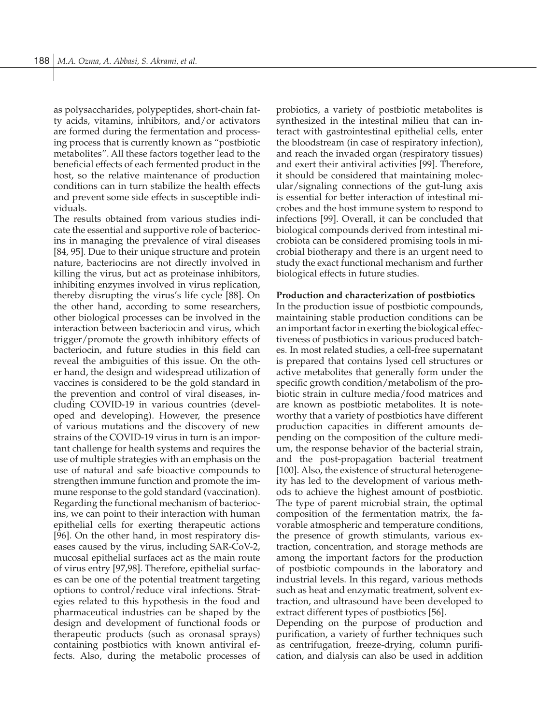as polysaccharides, polypeptides, short-chain fatty acids, vitamins, inhibitors, and/or activators are formed during the fermentation and processing process that is currently known as "postbiotic metabolites". All these factors together lead to the beneficial effects of each fermented product in the host, so the relative maintenance of production conditions can in turn stabilize the health effects and prevent some side effects in susceptible individuals.

The results obtained from various studies indicate the essential and supportive role of bacteriocins in managing the prevalence of viral diseases [84, 95]. Due to their unique structure and protein nature, bacteriocins are not directly involved in killing the virus, but act as proteinase inhibitors, inhibiting enzymes involved in virus replication, thereby disrupting the virus's life cycle [88]. On the other hand, according to some researchers, other biological processes can be involved in the interaction between bacteriocin and virus, which trigger/promote the growth inhibitory effects of bacteriocin, and future studies in this field can reveal the ambiguities of this issue. On the other hand, the design and widespread utilization of vaccines is considered to be the gold standard in the prevention and control of viral diseases, including COVID-19 in various countries (developed and developing). However, the presence of various mutations and the discovery of new strains of the COVID-19 virus in turn is an important challenge for health systems and requires the use of multiple strategies with an emphasis on the use of natural and safe bioactive compounds to strengthen immune function and promote the immune response to the gold standard (vaccination). Regarding the functional mechanism of bacteriocins, we can point to their interaction with human epithelial cells for exerting therapeutic actions [96]. On the other hand, in most respiratory diseases caused by the virus, including SAR-CoV-2, mucosal epithelial surfaces act as the main route of virus entry [97,98]. Therefore, epithelial surfaces can be one of the potential treatment targeting options to control/reduce viral infections. Strategies related to this hypothesis in the food and pharmaceutical industries can be shaped by the design and development of functional foods or therapeutic products (such as oronasal sprays) containing postbiotics with known antiviral effects. Also, during the metabolic processes of

probiotics, a variety of postbiotic metabolites is synthesized in the intestinal milieu that can interact with gastrointestinal epithelial cells, enter the bloodstream (in case of respiratory infection), and reach the invaded organ (respiratory tissues) and exert their antiviral activities [99]. Therefore, it should be considered that maintaining molecular/signaling connections of the gut-lung axis is essential for better interaction of intestinal microbes and the host immune system to respond to infections [99]. Overall, it can be concluded that biological compounds derived from intestinal microbiota can be considered promising tools in microbial biotherapy and there is an urgent need to study the exact functional mechanism and further biological effects in future studies.

#### **Production and characterization of postbiotics**

In the production issue of postbiotic compounds, maintaining stable production conditions can be an important factor in exerting the biological effectiveness of postbiotics in various produced batches. In most related studies, a cell-free supernatant is prepared that contains lysed cell structures or active metabolites that generally form under the specific growth condition/metabolism of the probiotic strain in culture media/food matrices and are known as postbiotic metabolites. It is noteworthy that a variety of postbiotics have different production capacities in different amounts depending on the composition of the culture medium, the response behavior of the bacterial strain, and the post-propagation bacterial treatment [100]. Also, the existence of structural heterogeneity has led to the development of various methods to achieve the highest amount of postbiotic. The type of parent microbial strain, the optimal composition of the fermentation matrix, the favorable atmospheric and temperature conditions, the presence of growth stimulants, various extraction, concentration, and storage methods are among the important factors for the production of postbiotic compounds in the laboratory and industrial levels. In this regard, various methods such as heat and enzymatic treatment, solvent extraction, and ultrasound have been developed to extract different types of postbiotics [56].

Depending on the purpose of production and purification, a variety of further techniques such as centrifugation, freeze-drying, column purification, and dialysis can also be used in addition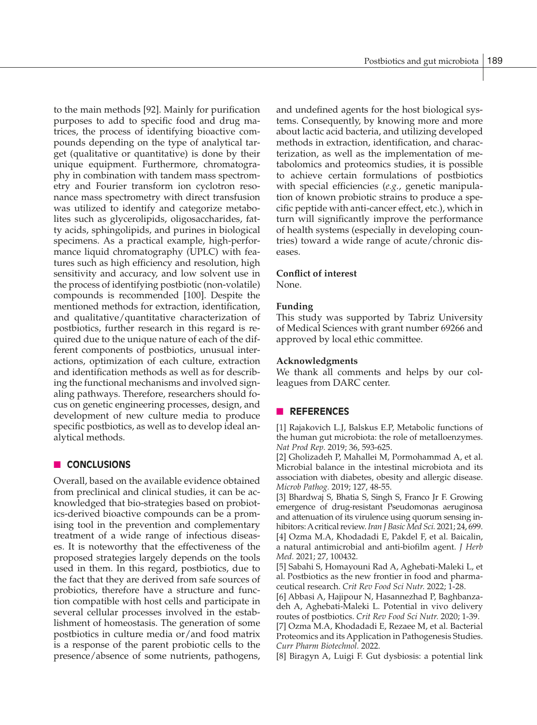to the main methods [92]. Mainly for purification purposes to add to specific food and drug matrices, the process of identifying bioactive compounds depending on the type of analytical target (qualitative or quantitative) is done by their unique equipment. Furthermore, chromatography in combination with tandem mass spectrometry and Fourier transform ion cyclotron resonance mass spectrometry with direct transfusion was utilized to identify and categorize metabolites such as glycerolipids, oligosaccharides, fatty acids, sphingolipids, and purines in biological specimens. As a practical example, high-performance liquid chromatography (UPLC) with features such as high efficiency and resolution, high sensitivity and accuracy, and low solvent use in the process of identifying postbiotic (non-volatile) compounds is recommended [100]. Despite the mentioned methods for extraction, identification, and qualitative/quantitative characterization of postbiotics, further research in this regard is required due to the unique nature of each of the different components of postbiotics, unusual interactions, optimization of each culture, extraction and identification methods as well as for describing the functional mechanisms and involved signaling pathways. Therefore, researchers should focus on genetic engineering processes, design, and development of new culture media to produce specific postbiotics, as well as to develop ideal analytical methods.

# **n CONCLUSIONS**

Overall, based on the available evidence obtained from preclinical and clinical studies, it can be acknowledged that bio-strategies based on probiotics-derived bioactive compounds can be a promising tool in the prevention and complementary treatment of a wide range of infectious diseases. It is noteworthy that the effectiveness of the proposed strategies largely depends on the tools used in them. In this regard, postbiotics, due to the fact that they are derived from safe sources of probiotics, therefore have a structure and function compatible with host cells and participate in several cellular processes involved in the establishment of homeostasis. The generation of some postbiotics in culture media or/and food matrix is a response of the parent probiotic cells to the presence/absence of some nutrients, pathogens, and undefined agents for the host biological systems. Consequently, by knowing more and more about lactic acid bacteria, and utilizing developed methods in extraction, identification, and characterization, as well as the implementation of metabolomics and proteomics studies, it is possible to achieve certain formulations of postbiotics with special efficiencies (*e.g.*, genetic manipulation of known probiotic strains to produce a specific peptide with anti-cancer effect, etc.), which in turn will significantly improve the performance of health systems (especially in developing countries) toward a wide range of acute/chronic diseases.

# **Conflict of interest**

None.

# **Funding**

This study was supported by Tabriz University of Medical Sciences with grant number 69266 and approved by local ethic committee.

### **Acknowledgments**

We thank all comments and helps by our colleagues from DARC center.

# n **REFERENCES**

[1] Rajakovich L.J, Balskus E.P, Metabolic functions of the human gut microbiota: the role of metalloenzymes. *Nat Prod Rep.* 2019; 36, 593-625.

[2] Gholizadeh P, Mahallei M, Pormohammad A, et al. Microbial balance in the intestinal microbiota and its association with diabetes, obesity and allergic disease. *Microb Pathog.* 2019; 127, 48-55.

[3] Bhardwaj S, Bhatia S, Singh S, Franco Jr F. Growing emergence of drug-resistant Pseudomonas aeruginosa and attenuation of its virulence using quorum sensing inhibitors: A critical review. *Iran J Basic Med Sci.* 2021; 24, 699. [4] Ozma M.A, Khodadadi E, Pakdel F, et al. Baicalin, a natural antimicrobial and anti-biofilm agent. *J Herb Med.* 2021; 27, 100432.

[5] Sabahi S, Homayouni Rad A, Aghebati-Maleki L, et al. Postbiotics as the new frontier in food and pharmaceutical research. *Crit Rev Food Sci Nutr.* 2022; 1-28.

[6] Abbasi A, Hajipour N, Hasannezhad P, Baghbanzadeh A, Aghebati-Maleki L. Potential in vivo delivery routes of postbiotics. *Crit Rev Food Sci Nutr.* 2020; 1-39.

[7] Ozma M.A, Khodadadi E, Rezaee M, et al. Bacterial Proteomics and its Application in Pathogenesis Studies. *Curr Pharm Biotechnol.* 2022.

[8] Biragyn A, Luigi F. Gut dysbiosis: a potential link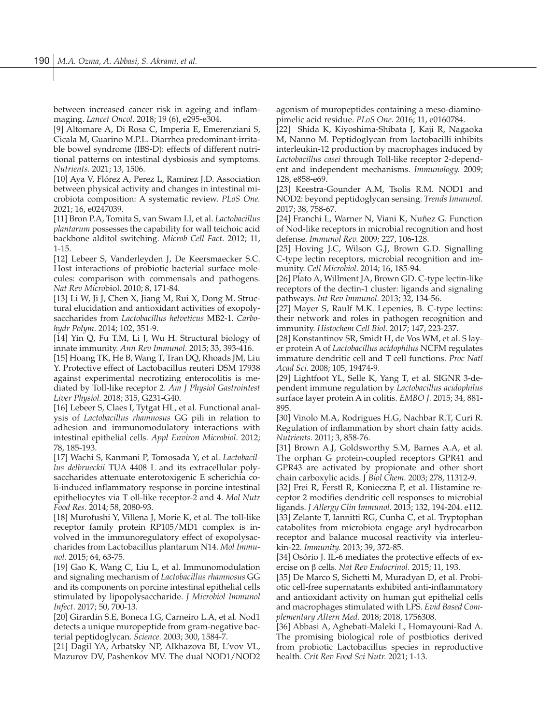between increased cancer risk in ageing and inflammaging. *Lancet Oncol*. 2018; 19 (6), e295-e304.

[9] Altomare A, Di Rosa C, Imperia E, Emerenziani S, Cicala M, Guarino M.P.L. Diarrhea predominant-irritable bowel syndrome (IBS-D): effects of different nutritional patterns on intestinal dysbiosis and symptoms. *Nutrients.* 2021; 13, 1506.

[10] Aya V, Flórez A, Perez L, Ramírez J.D. Association between physical activity and changes in intestinal microbiota composition: A systematic review. *PLoS One.*  2021; 16, e0247039.

[11] Bron P.A, Tomita S, van Swam I.I, et al. *Lactobacillus plantarum* possesses the capability for wall teichoic acid backbone alditol switching. *Microb Cell Fact.* 2012; 11, 1-15.

[12] Lebeer S, Vanderleyden J, De Keersmaecker S.C. Host interactions of probiotic bacterial surface molecules: comparison with commensals and pathogens. *Nat Rev Micro*biol. 2010; 8, 171-84.

[13] Li W, Ji J, Chen X, Jiang M, Rui X, Dong M. Structural elucidation and antioxidant activities of exopolysaccharides from *Lactobacillus helveticus* MB2-1. *Carbohydr Polym*. 2014; 102, 351-9.

[14] Yin Q, Fu T.M, Li J, Wu H. Structural biology of innate immunity. *Ann Rev Immunol.* 2015; 33, 393-416.

[15] Hoang TK, He B, Wang T, Tran DQ, Rhoads JM, Liu Y. Protective effect of Lactobacillus reuteri DSM 17938 against experimental necrotizing enterocolitis is mediated by Toll-like receptor 2. *Am J Physiol Gastrointest Liver Physiol.* 2018; 315, G231-G40.

[16] Lebeer S, Claes I, Tytgat HL, et al. Functional analysis of *Lactobacillus rhamnosus* GG pili in relation to adhesion and immunomodulatory interactions with intestinal epithelial cells. *Appl Environ Microbiol*. 2012; 78, 185-193.

[17] Wachi S, Kanmani P, Tomosada Y, et al. *Lactobacillus delbrueckii* TUA 4408 L and its extracellular polysaccharides attenuate enterotoxigenic E scherichia coli-induced inflammatory response in porcine intestinal epitheliocytes via T oll-like receptor-2 and 4. *Mol Nutr Food Res.* 2014; 58, 2080-93.

[18] Murofushi Y, Villena J, Morie K, et al. The toll-like receptor family protein RP105/MD1 complex is involved in the immunoregulatory effect of exopolysaccharides from Lactobacillus plantarum N14. *Mol Immunol.* 2015; 64, 63-75.

[19] Gao K, Wang C, Liu L, et al. Immunomodulation and signaling mechanism of *Lactobacillus rhamnosus* GG and its components on porcine intestinal epithelial cells stimulated by lipopolysaccharide. *J Microbiol Immunol Infect*. 2017; 50, 700-13.

[20] Girardin S.E, Boneca I.G, Carneiro L.A, et al. Nod1 detects a unique muropeptide from gram-negative bacterial peptidoglycan. *Science.* 2003; 300, 1584-7.

[21] Dagil YA, Arbatsky NP, Alkhazova BI, L'vov VL, Mazurov DV, Pashenkov MV. The dual NOD1/NOD2 agonism of muropeptides containing a meso-diaminopimelic acid residue. *PLoS One.* 2016; 11, e0160784.

[22] Shida K, Kiyoshima-Shibata J, Kaji R, Nagaoka M, Nanno M. Peptidoglycan from lactobacilli inhibits interleukin-12 production by macrophages induced by *Lactobacillus casei* through Toll-like receptor 2-dependent and independent mechanisms. *Immunology.* 2009; 128, e858-e69.

[23] Keestra-Gounder A.M, Tsolis R.M. NOD1 and NOD2: beyond peptidoglycan sensing. *Trends Immunol.*  2017; 38, 758-67.

[24] Franchi L, Warner N, Viani K, Nuñez G. Function of Nod-like receptors in microbial recognition and host defense. *Immunol Rev.* 2009; 227, 106-128.

[25] Hoving J.C, Wilson G.J, Brown G.D. Signalling C-type lectin receptors, microbial recognition and immunity. *Cell Microbiol.* 2014; 16, 185-94.

[26] Plato A, Willment JA, Brown GD. C-type lectin-like receptors of the dectin-1 cluster: ligands and signaling pathways. *Int Rev Immunol.* 2013; 32, 134-56.

[27] Mayer S, Raulf M.K. Lepenies, B. C-type lectins: their network and roles in pathogen recognition and immunity. *Histochem Cell Biol.* 2017; 147, 223-237.

[28] Konstantinov SR, Smidt H, de Vos WM, et al. S layer protein A of *Lactobacillus acidophilus* NCFM regulates immature dendritic cell and T cell functions. *Proc Natl Acad Sci.* 2008; 105, 19474-9.

[29] Lightfoot YL, Selle K, Yang T, et al. SIGNR 3-dependent immune regulation by *Lactobacillus acidophilus* surface layer protein A in colitis. *EMBO J.* 2015; 34, 881- 895.

[30] Vinolo M.A, Rodrigues H.G, Nachbar R.T, Curi R. Regulation of inflammation by short chain fatty acids. *Nutrients.* 2011; 3, 858-76.

[31] Brown A.J, Goldsworthy S.M, Barnes A.A, et al. The orphan G protein-coupled receptors GPR41 and GPR43 are activated by propionate and other short chain carboxylic acids. J *Biol Chem.* 2003; 278, 11312-9.

[32] Frei R, Ferstl R, Konieczna P, et al. Histamine receptor 2 modifies dendritic cell responses to microbial ligands. *J Allergy Clin Immunol.* 2013; 132, 194-204. e112. [33] Zelante T, Iannitti RG, Cunha C, et al. Tryptophan catabolites from microbiota engage aryl hydrocarbon receptor and balance mucosal reactivity via interleukin-22. *Immunity.* 2013; 39, 372-85.

[34] Osório J. IL-6 mediates the protective effects of exercise on β cells. *Nat Rev Endocrinol.* 2015; 11, 193.

[35] De Marco S, Sichetti M, Muradyan D, et al. Probiotic cell-free supernatants exhibited anti-inflammatory and antioxidant activity on human gut epithelial cells and macrophages stimulated with LPS. *Evid Based Complementary Altern Med.* 2018; 2018, 1756308.

[36] Abbasi A, Aghebati-Maleki L, Homayouni-Rad A. The promising biological role of postbiotics derived from probiotic Lactobacillus species in reproductive health. *Crit Rev Food Sci Nutr.* 2021; 1-13.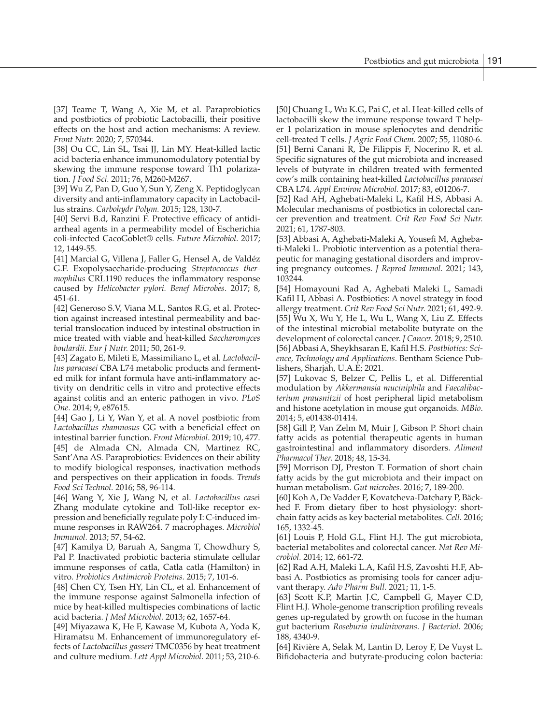[37] Teame T, Wang A, Xie M, et al. Paraprobiotics and postbiotics of probiotic Lactobacilli, their positive effects on the host and action mechanisms: A review. *Front Nutr.* 2020; 7, 570344.

[38] Ou CC, Lin SL, Tsai JJ, Lin MY. Heat-killed lactic acid bacteria enhance immunomodulatory potential by skewing the immune response toward Th1 polarization. *J Food Sci.* 2011; 76, M260-M267.

[39] Wu Z, Pan D, Guo Y, Sun Y, Zeng X. Peptidoglycan diversity and anti-inflammatory capacity in Lactobacillus strains. *Carbohydr Polym.* 2015; 128, 130-7.

[40] Servi B.d, Ranzini F. Protective efficacy of antidiarrheal agents in a permeability model of Escherichia coli-infected CacoGoblet® cells. *Future Microbiol.* 2017; 12, 1449-55.

[41] Marcial G, Villena J, Faller G, Hensel A, de Valdéz G.F. Exopolysaccharide-producing *Streptococcus thermophilus* CRL1190 reduces the inflammatory response caused by *Helicobacter pylori. Benef Microbes*. 2017; 8, 451-61.

[42] Generoso S.V, Viana M.L, Santos R.G, et al. Protection against increased intestinal permeability and bacterial translocation induced by intestinal obstruction in mice treated with viable and heat-killed *Saccharomyces boulardii*. *Eur J Nutr.* 2011; 50, 261-9.

[43] Zagato E, Mileti E, Massimiliano L, et al. *Lactobacillus paracasei* CBA L74 metabolic products and fermented milk for infant formula have anti-inflammatory activity on dendritic cells in vitro and protective effects against colitis and an enteric pathogen in vivo. *PLoS One.* 2014; 9, e87615.

[44] Gao J, Li Y, Wan Y, et al. A novel postbiotic from *Lactobacillus rhamnosus* GG with a beneficial effect on intestinal barrier function. *Front Microbiol*. 2019; 10, 477. [45] de Almada CN, Almada CN, Martinez RC, Sant'Ana AS. Paraprobiotics: Evidences on their ability to modify biological responses, inactivation methods and perspectives on their application in foods. *Trends Food Sci Technol.* 2016; 58, 96-114.

[46] Wang Y, Xie J, Wang N, et al. *Lactobacillus case*i Zhang modulate cytokine and Toll-like receptor expression and beneficially regulate poly I: C-induced immune responses in RAW264. 7 macrophages. *Microbiol Immunol.* 2013; 57, 54-62.

[47] Kamilya D, Baruah A, Sangma T, Chowdhury S, Pal P. Inactivated probiotic bacteria stimulate cellular immune responses of catla, Catla catla (Hamilton) in vitro. *Probiotics Antimicrob Proteins.* 2015; 7, 101-6.

[48] Chen CY, Tsen HY, Lin CL, et al. Enhancement of the immune response against Salmonella infection of mice by heat-killed multispecies combinations of lactic acid bacteria. *J Med Microbiol.* 2013; 62, 1657-64.

[49] Miyazawa K, He F, Kawase M, Kubota A, Yoda K, Hiramatsu M. Enhancement of immunoregulatory effects of *Lactobacillus gasseri* TMC0356 by heat treatment and culture medium. *Lett Appl Microbiol.* 2011; 53, 210-6.

[50] Chuang L, Wu K.G, Pai C, et al. Heat-killed cells of lactobacilli skew the immune response toward T helper 1 polarization in mouse splenocytes and dendritic cell-treated T cells. *J Agric Food Chem.* 2007; 55, 11080-6. [51] Berni Canani R, De Filippis F, Nocerino R, et al. Specific signatures of the gut microbiota and increased levels of butyrate in children treated with fermented cow's milk containing heat-killed *Lactobacillus paracasei*  CBA L74. *Appl Environ Microbiol.* 2017; 83, e01206-7.

[52] Rad AH, Aghebati-Maleki L, Kafil H.S, Abbasi A. Molecular mechanisms of postbiotics in colorectal cancer prevention and treatment. *Crit Rev Food Sci Nutr.*  2021; 61, 1787-803.

[53] Abbasi A, Aghebati-Maleki A, Yousefi M, Aghebati-Maleki L. Probiotic intervention as a potential therapeutic for managing gestational disorders and improving pregnancy outcomes. *J Reprod Immunol.* 2021; 143, 103244.

[54] Homayouni Rad A, Aghebati Maleki L, Samadi Kafil H, Abbasi A. Postbiotics: A novel strategy in food allergy treatment. *Crit Rev Food Sci Nutr.* 2021; 61, 492-9. [55] Wu X, Wu Y, He L, Wu L, Wang X, Liu Z. Effects of the intestinal microbial metabolite butyrate on the development of colorectal cancer. *J Cancer.* 2018; 9, 2510. [56] Abbasi A, Sheykhsaran E, Kafil H.S. *Postbiotics: Science, Technology and Applications*. Bentham Science Publishers, Sharjah, U.A.E; 2021.

[57] Lukovac S, Belzer C, Pellis L, et al. Differential modulation by *Akkermansia muciniphila* and *Faecalibacterium prausnitzii* of host peripheral lipid metabolism and histone acetylation in mouse gut organoids. *MBio*. 2014; 5, e01438-01414.

[58] Gill P, Van Zelm M, Muir J, Gibson P. Short chain fatty acids as potential therapeutic agents in human gastrointestinal and inflammatory disorders. *Aliment Pharmacol Ther.* 2018; 48, 15-34.

[59] Morrison DJ, Preston T. Formation of short chain fatty acids by the gut microbiota and their impact on human metabolism. *Gut microbes.* 2016; 7, 189-200.

[60] Koh A, De Vadder F, Kovatcheva-Datchary P, Bäckhed F. From dietary fiber to host physiology: shortchain fatty acids as key bacterial metabolites. *Cell.* 2016; 165, 1332-45.

[61] Louis P, Hold G.L, Flint H.J. The gut microbiota, bacterial metabolites and colorectal cancer. *Nat Rev Microbiol.* 2014; 12, 661-72.

[62] Rad A.H, Maleki L.A, Kafil H.S, Zavoshti H.F, Abbasi A. Postbiotics as promising tools for cancer adjuvant therapy. *Adv Pharm Bull.* 2021; 11, 1-5.

[63] Scott K.P, Martin J.C, Campbell G, Mayer C.D, Flint H.J. Whole-genome transcription profiling reveals genes up-regulated by growth on fucose in the human gut bacterium *Roseburia inulinivorans*. *J Bacteriol.* 2006; 188, 4340-9.

[64] Rivière A, Selak M, Lantin D, Leroy F, De Vuyst L. Bifidobacteria and butyrate-producing colon bacteria: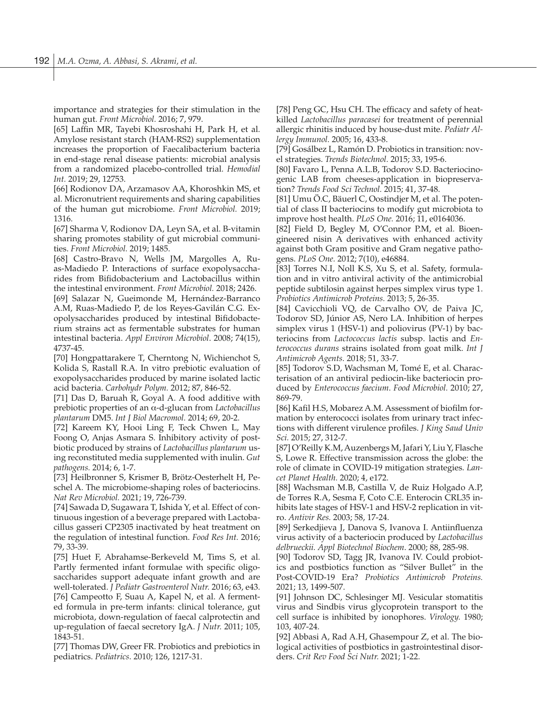importance and strategies for their stimulation in the human gut. *Front Microbiol.* 2016; 7, 979.

[65] Laffin MR, Tayebi Khosroshahi H, Park H, et al. Amylose resistant starch (HAM-RS2) supplementation increases the proportion of Faecalibacterium bacteria in end-stage renal disease patients: microbial analysis from a randomized placebo-controlled trial. *Hemodial Int.* 2019; 29, 12753.

[66] Rodionov DA, Arzamasov AA, Khoroshkin MS, et al. Micronutrient requirements and sharing capabilities of the human gut microbiome. *Front Microbiol.* 2019; 1316.

[67] Sharma V, Rodionov DA, Leyn SA, et al. B-vitamin sharing promotes stability of gut microbial communities. *Front Microbiol.* 2019; 1485.

[68] Castro-Bravo N, Wells JM, Margolles A, Ruas-Madiedo P. Interactions of surface exopolysaccharides from Bifidobacterium and Lactobacillus within the intestinal environment. *Front Microbiol.* 2018; 2426.

[69] Salazar N, Gueimonde M, Hernández-Barranco A.M, Ruas-Madiedo P, de los Reyes-Gavilán C.G. Exopolysaccharides produced by intestinal Bifidobacterium strains act as fermentable substrates for human intestinal bacteria. *Appl Environ Microbiol*. 2008; 74(15), 4737-45.

[70] Hongpattarakere T, Cherntong N, Wichienchot S, Kolida S, Rastall R.A. In vitro prebiotic evaluation of exopolysaccharides produced by marine isolated lactic acid bacteria. *Carbohydr Polym.* 2012; 87, 846-52.

[71] Das D, Baruah R, Goyal A. A food additive with prebiotic properties of an α-d-glucan from *Lactobacillus plantarum* DM5. *Int J Biol Macromol.* 2014; 69, 20-2.

[72] Kareem KY, Hooi Ling F, Teck Chwen L, May Foong O, Anjas Asmara S. Inhibitory activity of postbiotic produced by strains of *Lactobacillus plantarum* using reconstituted media supplemented with inulin. *Gut pathogens.* 2014; 6, 1-7.

[73] Heilbronner S, Krismer B, Brötz-Oesterhelt H, Peschel A. The microbiome-shaping roles of bacteriocins. *Nat Rev Microbiol.* 2021; 19, 726-739.

[74] Sawada D, Sugawara T, Ishida Y, et al. Effect of continuous ingestion of a beverage prepared with Lactobacillus gasseri CP2305 inactivated by heat treatment on the regulation of intestinal function. *Food Res Int.* 2016; 79, 33-39.

[75] Huet F, Abrahamse-Berkeveld M, Tims S, et al. Partly fermented infant formulae with specific oligosaccharides support adequate infant growth and are well-tolerated. *J Pediatr Gastroenterol Nutr.* 2016; 63, e43. [76] Campeotto F, Suau A, Kapel N, et al. A fermented formula in pre-term infants: clinical tolerance, gut microbiota, down-regulation of faecal calprotectin and up-regulation of faecal secretory IgA. *J Nutr.* 2011; 105, 1843-51.

[77] Thomas DW, Greer FR. Probiotics and prebiotics in pediatrics. *Pediatrics*. 2010; 126, 1217-31.

[78] Peng GC, Hsu CH. The efficacy and safety of heatkilled *Lactobacillus paracasei* for treatment of perennial allergic rhinitis induced by house-dust mite. *Pediatr Allergy Immunol.* 2005; 16, 433-8.

[79] Gosálbez L, Ramón D. Probiotics in transition: novel strategies. *Trends Biotechnol.* 2015; 33, 195-6.

[80] Favaro L, Penna A.L.B, Todorov S.D. Bacteriocinogenic LAB from cheeses-application in biopreservation? *Trends Food Sci Technol.* 2015; 41, 37-48.

[81] Umu Ö.C, Bäuerl C, Oostindjer M, et al. The potential of class II bacteriocins to modify gut microbiota to improve host health. *PLoS One.* 2016; 11, e0164036.

[82] Field D, Begley M, O'Connor P.M, et al. Bioengineered nisin A derivatives with enhanced activity against both Gram positive and Gram negative pathogens. *PLoS One.* 2012; 7(10), e46884.

[83] Torres N.I, Noll K.S, Xu S, et al. Safety, formulation and in vitro antiviral activity of the antimicrobial peptide subtilosin against herpes simplex virus type 1. *Probiotics Antimicrob Proteins.* 2013; 5, 26-35.

[84] Cavicchioli VQ, de Carvalho OV, de Paiva JC, Todorov SD, Júnior AS, Nero LA. Inhibition of herpes simplex virus 1 (HSV-1) and poliovirus (PV-1) by bacteriocins from *Lactococcus lactis* subsp. lactis and *Enterococcus durans* strains isolated from goat milk. *Int J Antimicrob Agents.* 2018; 51, 33-7.

[85] Todorov S.D, Wachsman M, Tomé E, et al. Characterisation of an antiviral pediocin-like bacteriocin produced by *Enterococcus faecium*. *Food Microbiol.* 2010; 27, 869-79.

[86] Kafil H.S, Mobarez A.M. Assessment of biofilm formation by enterococci isolates from urinary tract infections with different virulence profiles. *J King Saud Univ Sci.* 2015; 27, 312-7.

[87] O'Reilly K.M, Auzenbergs M, Jafari Y, Liu Y, Flasche S, Lowe R. Effective transmission across the globe: the role of climate in COVID-19 mitigation strategies. *Lancet Planet Health.* 2020; 4, e172.

[88] Wachsman M.B, Castilla V, de Ruiz Holgado A.P, de Torres R.A, Sesma F, Coto C.E. Enterocin CRL35 inhibits late stages of HSV-1 and HSV-2 replication in vitro. *Antivir Res.* 2003; 58, 17-24.

[89] Serkedjieva J, Danova S, Ivanova I. Antiinfluenza virus activity of a bacteriocin produced by *Lactobacillus delbrueckii. Appl Biotechnol Biochem*. 2000; 88, 285-98.

[90] Todorov SD, Tagg JR, Ivanova IV. Could probiotics and postbiotics function as "Silver Bullet" in the Post-COVID-19 Era? *Probiotics Antimicrob Proteins.*  2021; 13, 1499-507.

[91] Johnson DC, Schlesinger MJ. Vesicular stomatitis virus and Sindbis virus glycoprotein transport to the cell surface is inhibited by ionophores. *Virology.* 1980; 103, 407-24.

[92] Abbasi A, Rad A.H, Ghasempour Z, et al. The biological activities of postbiotics in gastrointestinal disorders. *Crit Rev Food Sci Nutr.* 2021; 1-22.